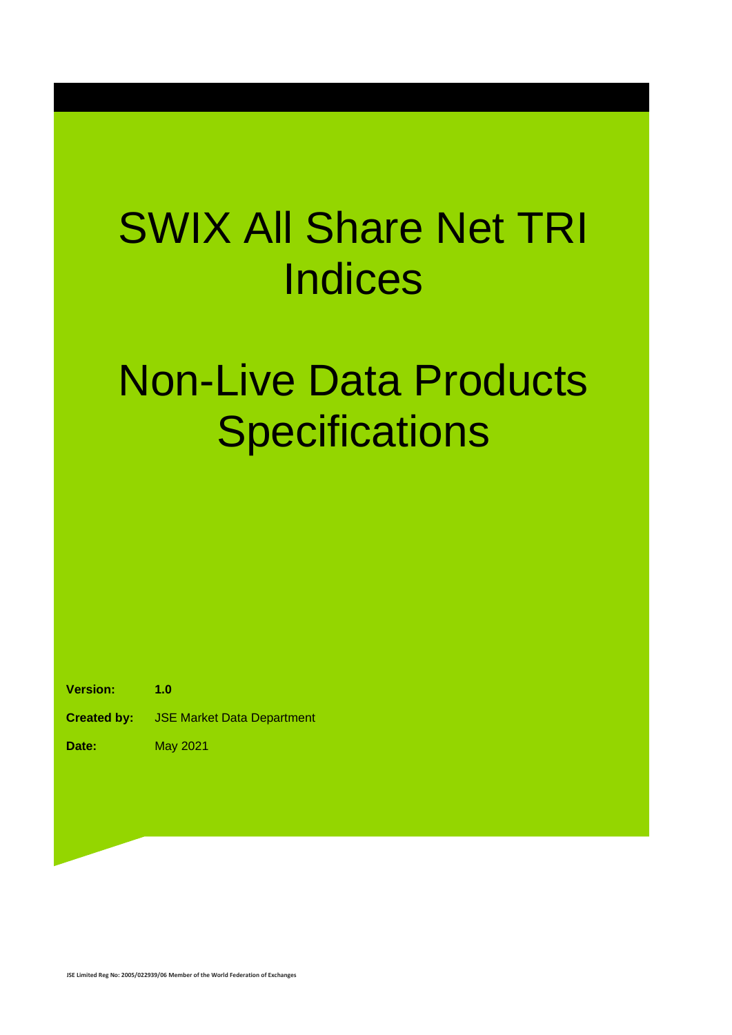## SWIX All Share Net TRI **Indices**

## Non-Live Data Products **Specifications**

**Version: 1.0**

**Created by:** JSE Market Data Department

**Date:** May 2021

**JSE Limited Reg No: 2005/022939/06 Member of the World Federation of Exchanges**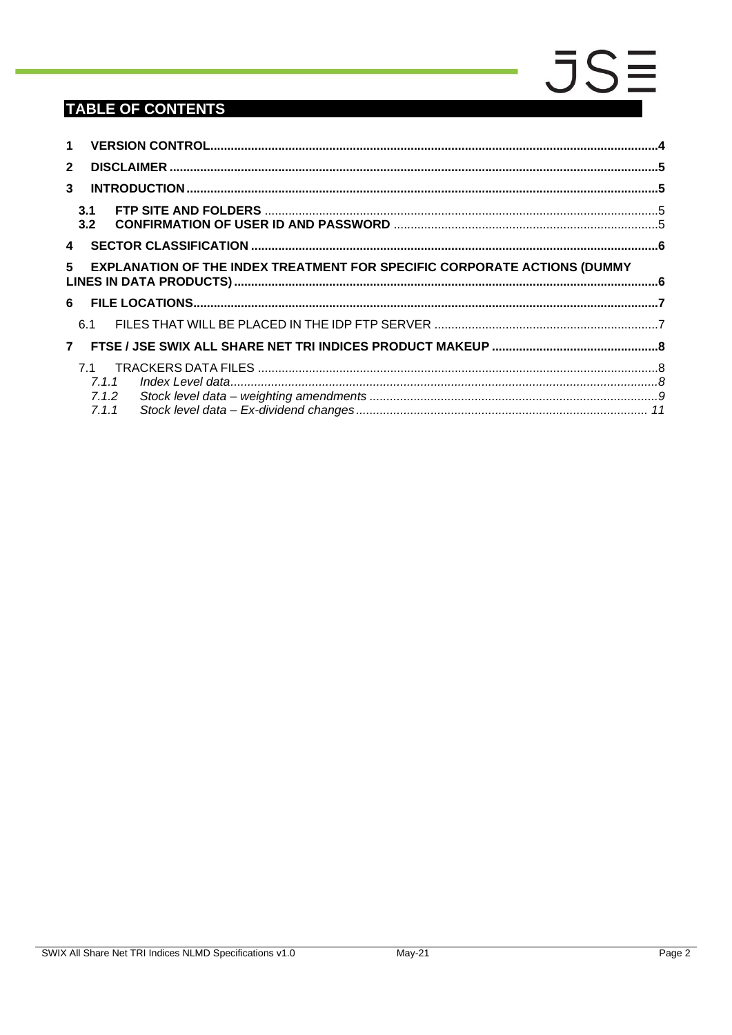### **TABLE OF CONTENTS**

| $\mathbf 1$             |                                                                                                   |  |  |  |
|-------------------------|---------------------------------------------------------------------------------------------------|--|--|--|
| $\overline{2}$          |                                                                                                   |  |  |  |
| 3                       |                                                                                                   |  |  |  |
|                         | 3.1<br>3.2                                                                                        |  |  |  |
| $\overline{\mathbf{4}}$ |                                                                                                   |  |  |  |
|                         | 5 <sup>5</sup><br><b>EXPLANATION OF THE INDEX TREATMENT FOR SPECIFIC CORPORATE ACTIONS (DUMMY</b> |  |  |  |
|                         |                                                                                                   |  |  |  |
|                         | 6.1                                                                                               |  |  |  |
| $\overline{7}$          |                                                                                                   |  |  |  |
|                         | 71<br>7.1.1<br>7.1.2<br>7.1.1                                                                     |  |  |  |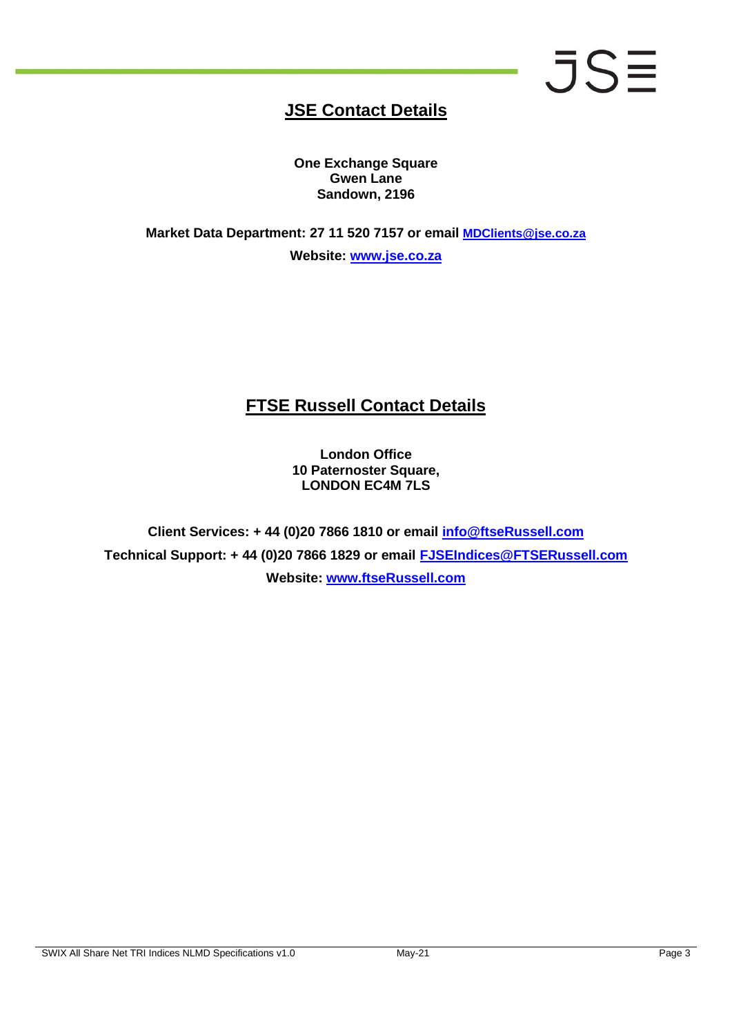# **JSE**

### **JSE Contact Details**

**One Exchange Square Gwen Lane Sandown, 2196**

**Market Data Department: 27 11 520 7157 or email [MDClients@jse.co.za](mailto:MDClients@jse.co.za) Website: [www.jse.co.za](http://www.jse.co.za/)**

### **FTSE Russell Contact Details**

**London Office 10 Paternoster Square, LONDON EC4M 7LS**

**Client Services: + 44 (0)20 7866 1810 or email info@ftseRussell.com Technical Support: + 44 (0)20 7866 1829 or email [FJSEIndices@FTSERussell.com](mailto:FJSEIndices@FTSERussell.com) Website: [www.ftseRussell.com](http://www.ftserussell.com/)**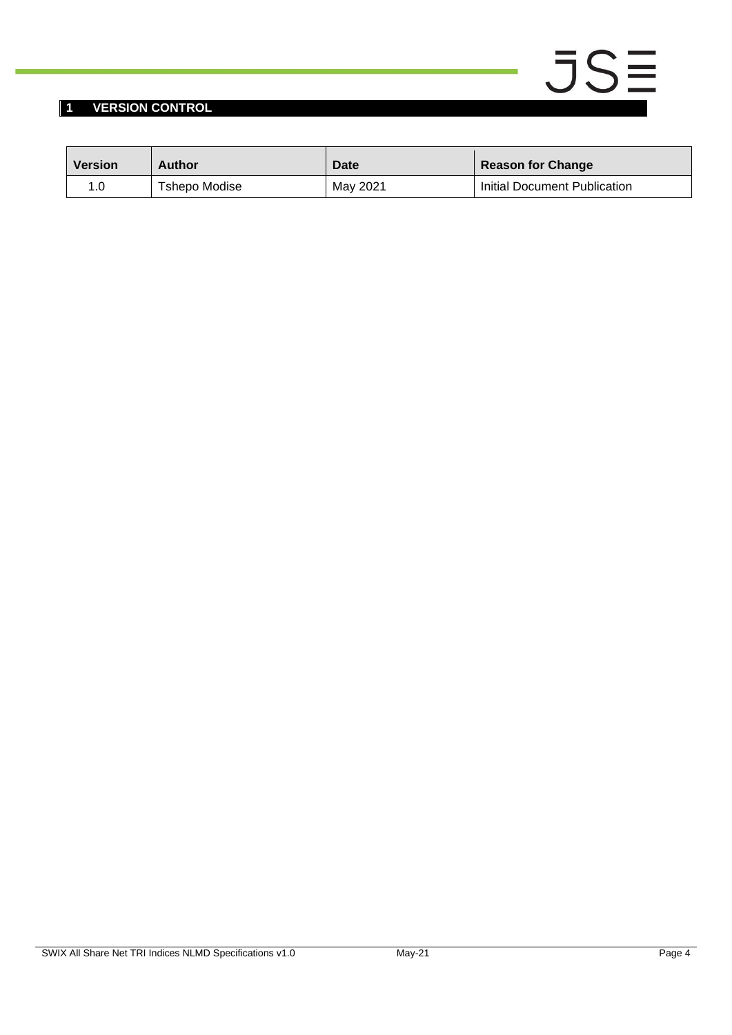#### <span id="page-3-0"></span>**1 VERSION CONTROL**

| <b>Version</b> | Author        | <b>Date</b> | <b>Reason for Change</b>     |
|----------------|---------------|-------------|------------------------------|
|                | Tshepo Modise | May 2021    | Initial Document Publication |

 $JSE$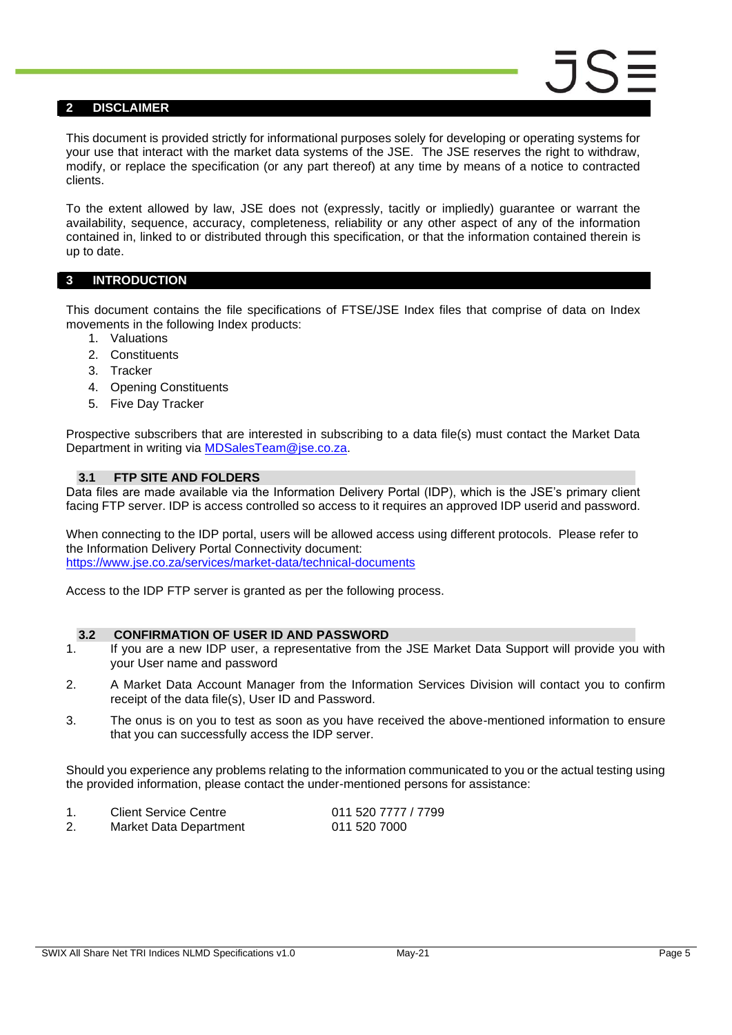#### <span id="page-4-0"></span>**2 DISCLAIMER**

This document is provided strictly for informational purposes solely for developing or operating systems for your use that interact with the market data systems of the JSE. The JSE reserves the right to withdraw, modify, or replace the specification (or any part thereof) at any time by means of a notice to contracted clients.

To the extent allowed by law, JSE does not (expressly, tacitly or impliedly) guarantee or warrant the availability, sequence, accuracy, completeness, reliability or any other aspect of any of the information contained in, linked to or distributed through this specification, or that the information contained therein is up to date.

#### <span id="page-4-1"></span>**3 INTRODUCTION**

This document contains the file specifications of FTSE/JSE Index files that comprise of data on Index movements in the following Index products:

- 1. Valuations
- 2. Constituents
- 3. Tracker
- 4. Opening Constituents
- 5. Five Day Tracker

Prospective subscribers that are interested in subscribing to a data file(s) must contact the Market Data Department in writing via [MDSalesTeam@jse.co.za.](mailto:MDSalesTeam@jse.co.za)

#### <span id="page-4-2"></span>**3.1 FTP SITE AND FOLDERS**

Data files are made available via the Information Delivery Portal (IDP), which is the JSE's primary client facing FTP server. IDP is access controlled so access to it requires an approved IDP userid and password.

When connecting to the IDP portal, users will be allowed access using different protocols. Please refer to the Information Delivery Portal Connectivity document: <https://www.jse.co.za/services/market-data/technical-documents>

Access to the IDP FTP server is granted as per the following process.

#### <span id="page-4-3"></span>**3.2 CONFIRMATION OF USER ID AND PASSWORD**

- 1. If you are a new IDP user, a representative from the JSE Market Data Support will provide you with your User name and password
- 2. A Market Data Account Manager from the Information Services Division will contact you to confirm receipt of the data file(s), User ID and Password.
- 3. The onus is on you to test as soon as you have received the above-mentioned information to ensure that you can successfully access the IDP server.

Should you experience any problems relating to the information communicated to you or the actual testing using the provided information, please contact the under-mentioned persons for assistance:

| <b>Client Service Centre</b> | 011 520 7777 / 7799 |
|------------------------------|---------------------|
| Market Data Department       | 011 520 7000        |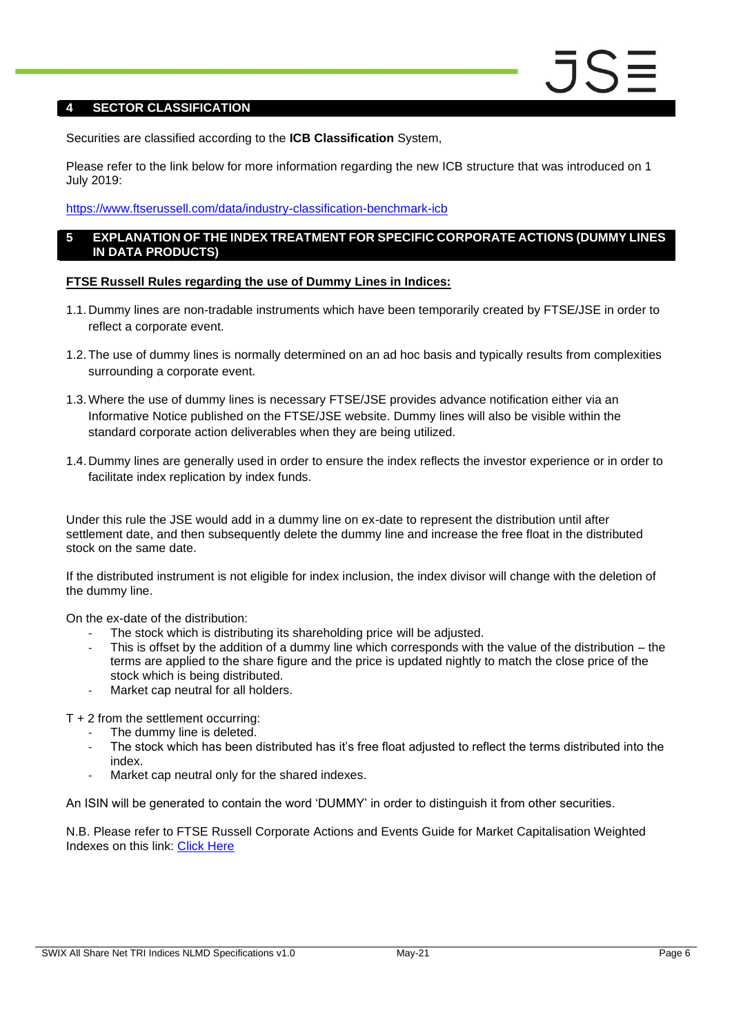#### <span id="page-5-0"></span>**4 SECTOR CLASSIFICATION**

Securities are classified according to the **ICB Classification** System,

Please refer to the link below for more information regarding the new ICB structure that was introduced on 1 July 2019:

#### <https://www.ftserussell.com/data/industry-classification-benchmark-icb>

#### <span id="page-5-1"></span>**5 EXPLANATION OF THE INDEX TREATMENT FOR SPECIFIC CORPORATE ACTIONS (DUMMY LINES IN DATA PRODUCTS)**

#### **FTSE Russell Rules regarding the use of Dummy Lines in Indices:**

- 1.1. Dummy lines are non-tradable instruments which have been temporarily created by FTSE/JSE in order to reflect a corporate event.
- 1.2.The use of dummy lines is normally determined on an ad hoc basis and typically results from complexities surrounding a corporate event.
- 1.3.Where the use of dummy lines is necessary FTSE/JSE provides advance notification either via an Informative Notice published on the FTSE/JSE website. Dummy lines will also be visible within the standard corporate action deliverables when they are being utilized.
- 1.4. Dummy lines are generally used in order to ensure the index reflects the investor experience or in order to facilitate index replication by index funds.

Under this rule the JSE would add in a dummy line on ex-date to represent the distribution until after settlement date, and then subsequently delete the dummy line and increase the free float in the distributed stock on the same date.

If the distributed instrument is not eligible for index inclusion, the index divisor will change with the deletion of the dummy line.

On the ex-date of the distribution:

- The stock which is distributing its shareholding price will be adjusted.
- This is offset by the addition of a dummy line which corresponds with the value of the distribution  $-$  the terms are applied to the share figure and the price is updated nightly to match the close price of the stock which is being distributed.
- Market cap neutral for all holders.

T + 2 from the settlement occurring:

- The dummy line is deleted.
- The stock which has been distributed has it's free float adjusted to reflect the terms distributed into the index.
- Market cap neutral only for the shared indexes.

An ISIN will be generated to contain the word 'DUMMY' in order to distinguish it from other securities.

N.B. Please refer to FTSE Russell Corporate Actions and Events Guide for Market Capitalisation Weighted Indexes on this link: [Click Here](https://research.ftserussell.com/products/downloads/Corporate_Actions_and_Events_Guide.pdf)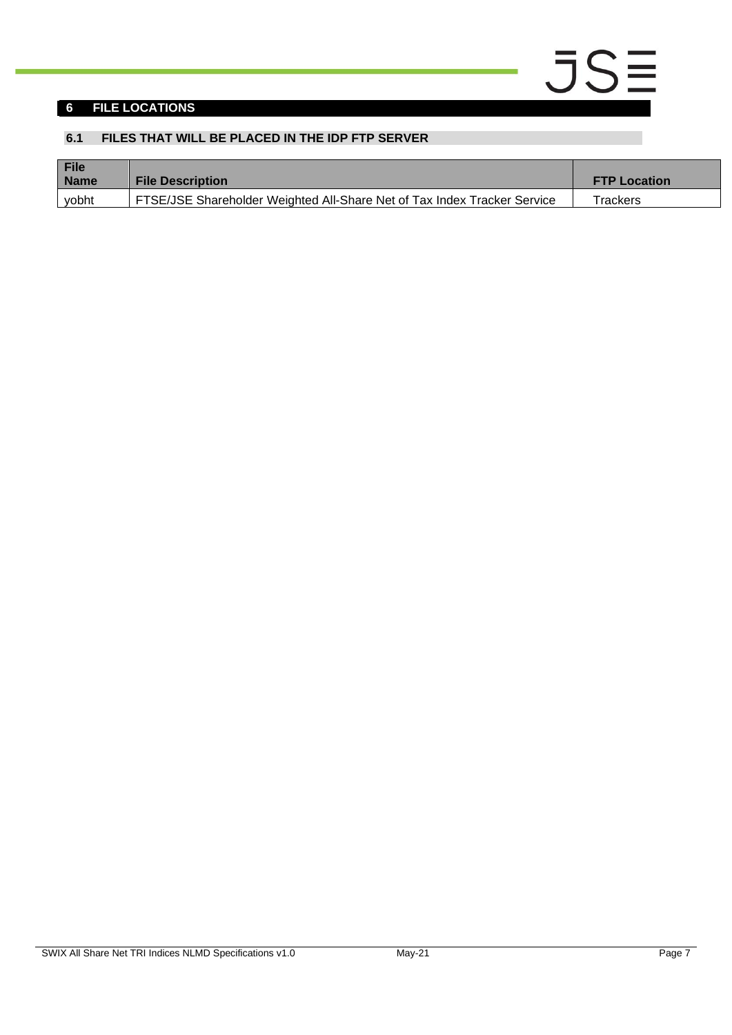#### <span id="page-6-0"></span>**6 FILE LOCATIONS**

#### <span id="page-6-1"></span>**6.1 FILES THAT WILL BE PLACED IN THE IDP FTP SERVER**

| File<br><b>Name</b> | <b>File Description</b>                                                  | <b>FTP Location</b> |
|---------------------|--------------------------------------------------------------------------|---------------------|
| vobht               | FTSE/JSE Shareholder Weighted All-Share Net of Tax Index Tracker Service | Trackers            |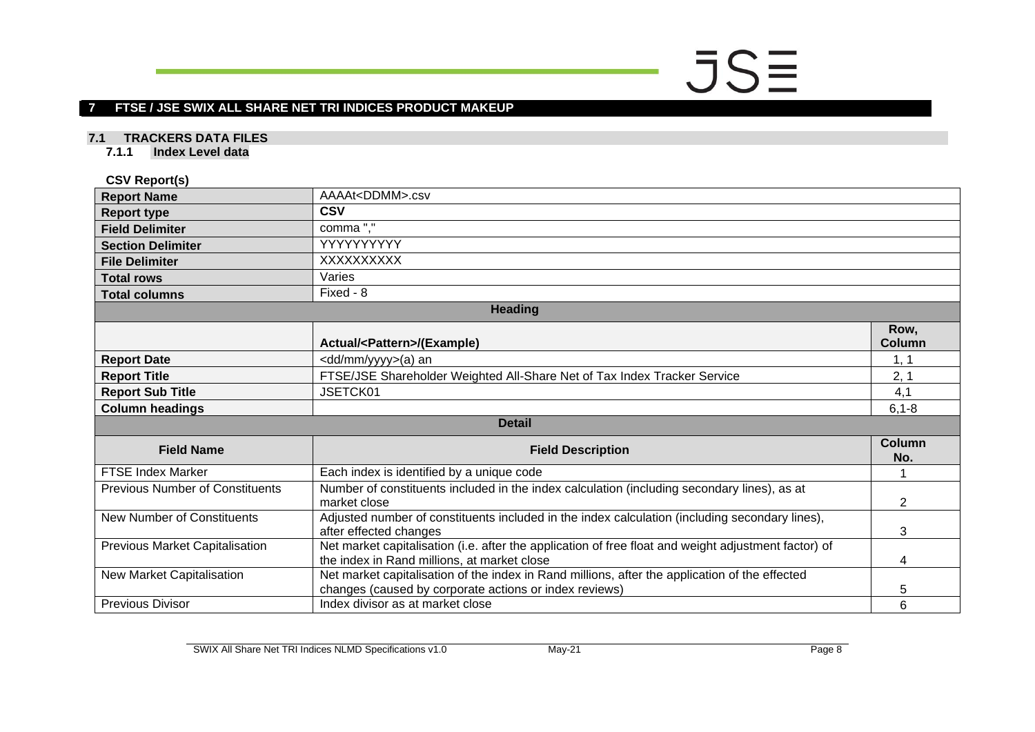# $JSE$

#### **7 FTSE / JSE SWIX ALL SHARE NET TRI INDICES PRODUCT MAKEUP**

#### **7.1 TRACKERS DATA FILES**

**7.1.1 Index Level data**

#### **CSV Report(s)**

<span id="page-7-2"></span><span id="page-7-1"></span><span id="page-7-0"></span>

| <b>Report Name</b>                     | AAAAt <ddmm>.csv</ddmm>                                                                                                                                  |                |  |  |
|----------------------------------------|----------------------------------------------------------------------------------------------------------------------------------------------------------|----------------|--|--|
| <b>Report type</b>                     | <b>CSV</b>                                                                                                                                               |                |  |  |
| <b>Field Delimiter</b>                 | comma","                                                                                                                                                 |                |  |  |
| <b>Section Delimiter</b>               | YYYYYYYYY                                                                                                                                                |                |  |  |
| <b>File Delimiter</b>                  | XXXXXXXXX                                                                                                                                                |                |  |  |
| <b>Total rows</b>                      | Varies                                                                                                                                                   |                |  |  |
| <b>Total columns</b>                   | Fixed - 8                                                                                                                                                |                |  |  |
|                                        | <b>Heading</b>                                                                                                                                           |                |  |  |
|                                        | Actual/ <pattern>/(Example)</pattern>                                                                                                                    | Row,<br>Column |  |  |
| <b>Report Date</b>                     | <dd mm="" yyyy="">(a) an</dd>                                                                                                                            | 1, 1           |  |  |
| <b>Report Title</b>                    | FTSE/JSE Shareholder Weighted All-Share Net of Tax Index Tracker Service                                                                                 | 2, 1           |  |  |
| <b>Report Sub Title</b>                | JSETCK01                                                                                                                                                 | 4,1            |  |  |
| <b>Column headings</b>                 |                                                                                                                                                          | $6, 1 - 8$     |  |  |
|                                        | <b>Detail</b>                                                                                                                                            |                |  |  |
| <b>Field Name</b>                      | <b>Field Description</b>                                                                                                                                 | Column<br>No.  |  |  |
| <b>FTSE Index Marker</b>               | Each index is identified by a unique code                                                                                                                |                |  |  |
| <b>Previous Number of Constituents</b> | Number of constituents included in the index calculation (including secondary lines), as at<br>market close                                              | 2              |  |  |
| <b>New Number of Constituents</b>      | Adjusted number of constituents included in the index calculation (including secondary lines),<br>after effected changes                                 | 3              |  |  |
| <b>Previous Market Capitalisation</b>  | Net market capitalisation (i.e. after the application of free float and weight adjustment factor) of<br>the index in Rand millions, at market close      | 4              |  |  |
| New Market Capitalisation              | Net market capitalisation of the index in Rand millions, after the application of the effected<br>changes (caused by corporate actions or index reviews) | 5              |  |  |
| <b>Previous Divisor</b>                | Index divisor as at market close                                                                                                                         | 6              |  |  |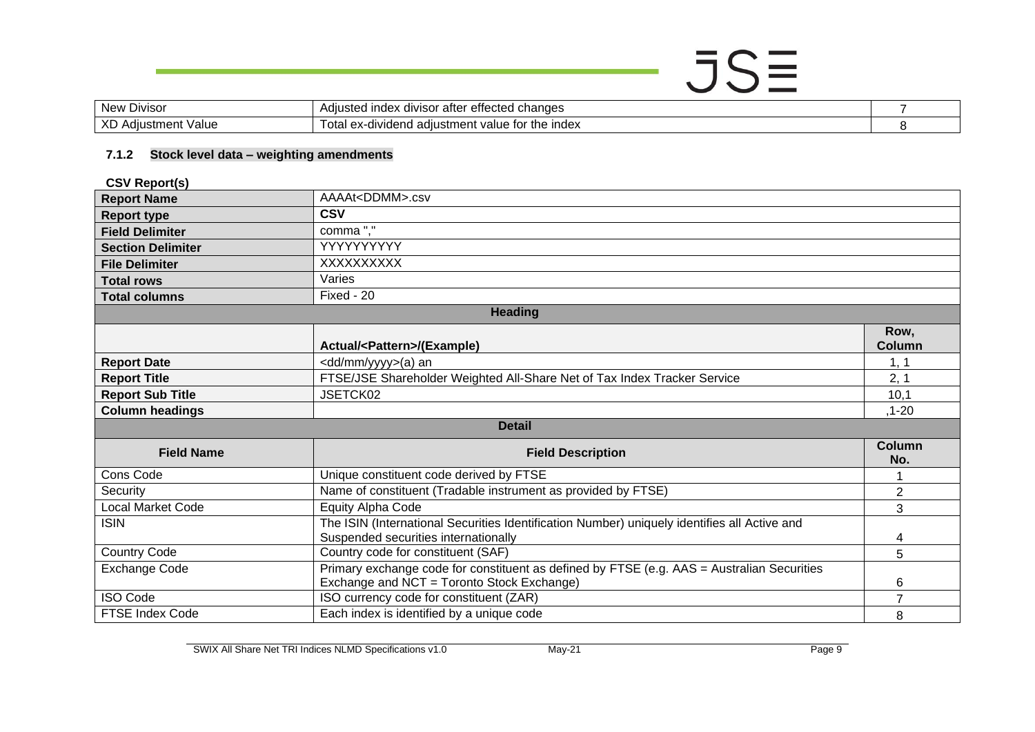### $JSE$ New Divisor Adjusted index divisor after effected changes<br>
XD Adjustment Value Total ex-dividend adjustment value for the index<br>
8 Total ex-dividend adjustment value for the index 8

#### **7.1.2 Stock level data – weighting amendments**

**CSV Report(s)**

<span id="page-8-0"></span>

| <b>Report Name</b>       | AAAAt <ddmm>.csv</ddmm>                                                                      |                |  |
|--------------------------|----------------------------------------------------------------------------------------------|----------------|--|
| <b>Report type</b>       | <b>CSV</b>                                                                                   |                |  |
| <b>Field Delimiter</b>   | comma","                                                                                     |                |  |
| <b>Section Delimiter</b> | YYYYYYYYY                                                                                    |                |  |
| <b>File Delimiter</b>    | XXXXXXXXX                                                                                    |                |  |
| <b>Total rows</b>        | Varies                                                                                       |                |  |
| <b>Total columns</b>     | Fixed - 20                                                                                   |                |  |
|                          | <b>Heading</b>                                                                               |                |  |
|                          | Row,                                                                                         |                |  |
|                          | Actual/ <pattern>/(Example)</pattern>                                                        | Column         |  |
| <b>Report Date</b>       | <dd mm="" yyyy="">(a) an</dd>                                                                | 1, 1           |  |
| <b>Report Title</b>      | FTSE/JSE Shareholder Weighted All-Share Net of Tax Index Tracker Service                     | 2, 1           |  |
| <b>Report Sub Title</b>  | JSETCK02                                                                                     | 10,1           |  |
| <b>Column headings</b>   |                                                                                              | $, 1 - 20$     |  |
| <b>Detail</b>            |                                                                                              |                |  |
| <b>Field Name</b>        | <b>Field Description</b>                                                                     | Column<br>No.  |  |
| Cons Code                | Unique constituent code derived by FTSE                                                      |                |  |
| Security                 | Name of constituent (Tradable instrument as provided by FTSE)                                | $\overline{2}$ |  |
| <b>Local Market Code</b> | Equity Alpha Code                                                                            | 3              |  |
| <b>ISIN</b>              | The ISIN (International Securities Identification Number) uniquely identifies all Active and |                |  |
|                          | Suspended securities internationally                                                         | 4              |  |
| <b>Country Code</b>      | Country code for constituent (SAF)                                                           | 5              |  |
| <b>Exchange Code</b>     | Primary exchange code for constituent as defined by FTSE (e.g. AAS = Australian Securities   |                |  |
|                          | Exchange and NCT = Toronto Stock Exchange)                                                   | 6              |  |
| <b>ISO Code</b>          | ISO currency code for constituent (ZAR)                                                      | $\overline{7}$ |  |
| <b>FTSE Index Code</b>   | Each index is identified by a unique code                                                    | 8              |  |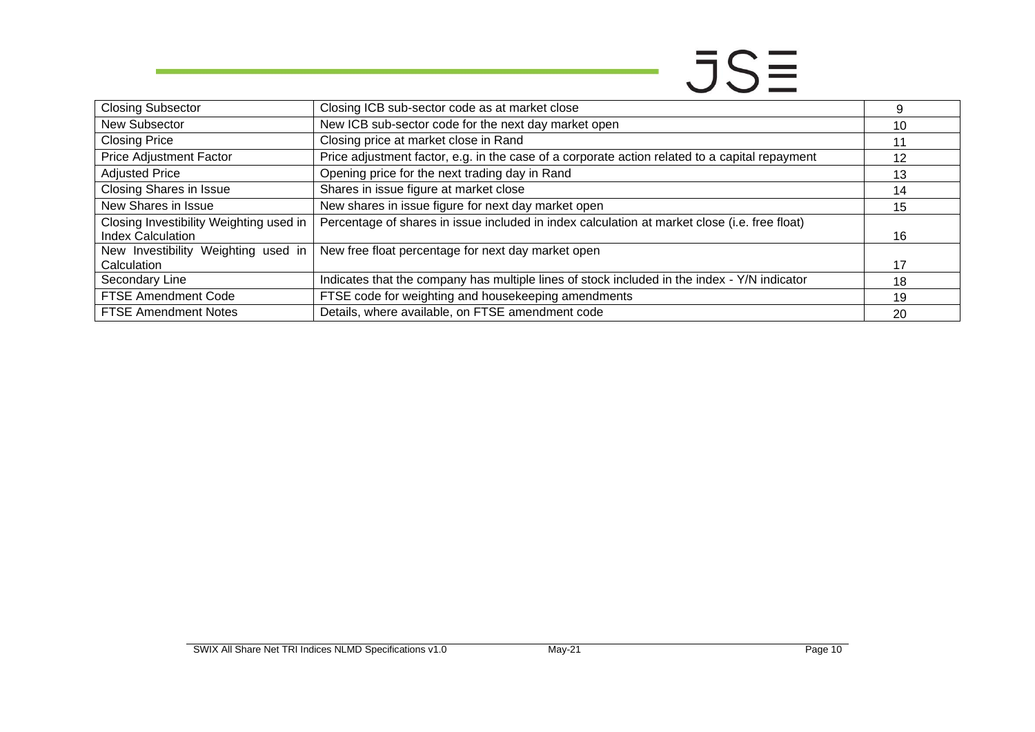## $JS\equiv$

| <b>Closing Subsector</b>                                        | Closing ICB sub-sector code as at market close                                                 |    |
|-----------------------------------------------------------------|------------------------------------------------------------------------------------------------|----|
| New Subsector                                                   | New ICB sub-sector code for the next day market open                                           | 10 |
| <b>Closing Price</b>                                            | Closing price at market close in Rand                                                          |    |
| Price Adjustment Factor                                         | Price adjustment factor, e.g. in the case of a corporate action related to a capital repayment | 12 |
| <b>Adjusted Price</b>                                           | Opening price for the next trading day in Rand                                                 | 13 |
| <b>Closing Shares in Issue</b>                                  | Shares in issue figure at market close                                                         | 14 |
| New Shares in Issue                                             | New shares in issue figure for next day market open                                            | 15 |
| Closing Investibility Weighting used in                         | Percentage of shares in issue included in index calculation at market close (i.e. free float)  |    |
| <b>Index Calculation</b><br>New Investibility Weighting used in | New free float percentage for next day market open                                             | 16 |
| Calculation                                                     |                                                                                                |    |
| Secondary Line                                                  | Indicates that the company has multiple lines of stock included in the index - Y/N indicator   | 18 |
| FTSE Amendment Code                                             | FTSE code for weighting and housekeeping amendments                                            | 19 |
| <b>FTSE Amendment Notes</b>                                     | Details, where available, on FTSE amendment code                                               | 20 |

<u>a sa salawan sa sa</u>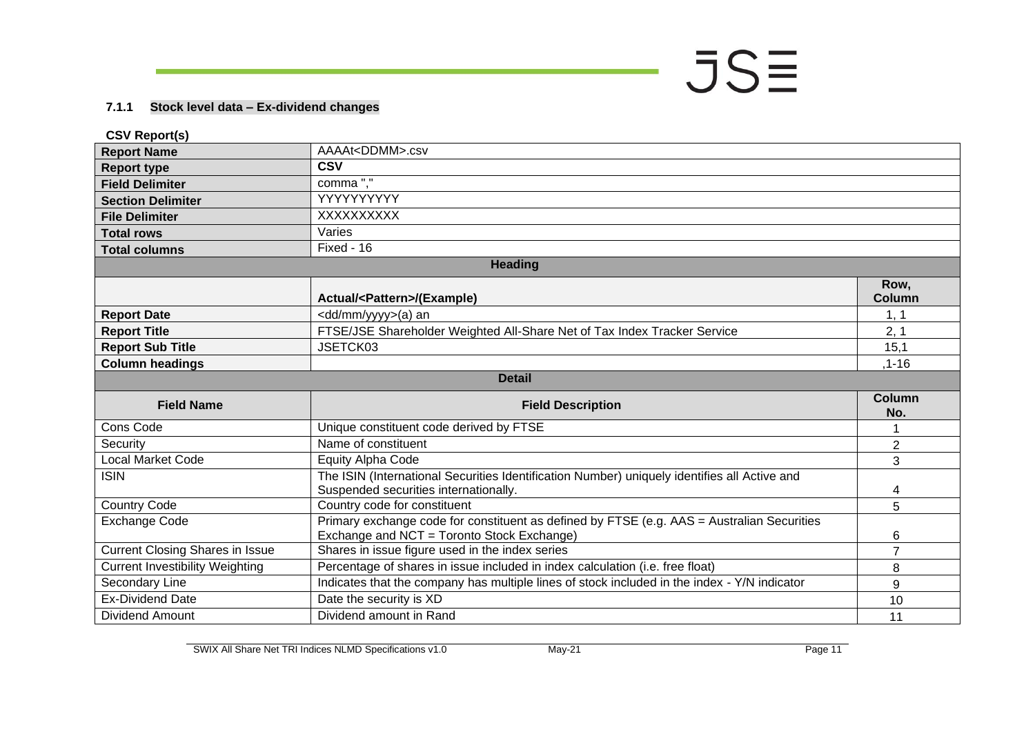#### **7.1.1 Stock level data – Ex-dividend changes**

<span id="page-10-0"></span>

| <b>CSV Report(s)</b>                   |                                                                                                                                          |                       |
|----------------------------------------|------------------------------------------------------------------------------------------------------------------------------------------|-----------------------|
| <b>Report Name</b>                     | AAAAt <ddmm>.csv</ddmm>                                                                                                                  |                       |
| <b>Report type</b>                     | <b>CSV</b>                                                                                                                               |                       |
| <b>Field Delimiter</b>                 | comma","                                                                                                                                 |                       |
| <b>Section Delimiter</b>               | YYYYYYYYYY                                                                                                                               |                       |
| <b>File Delimiter</b>                  | XXXXXXXXX                                                                                                                                |                       |
| <b>Total rows</b>                      | Varies                                                                                                                                   |                       |
| <b>Total columns</b>                   | Fixed - 16                                                                                                                               |                       |
|                                        | Heading                                                                                                                                  |                       |
|                                        | Actual/ <pattern>/(Example)</pattern>                                                                                                    | Row,<br><b>Column</b> |
| <b>Report Date</b>                     | <dd mm="" yyyy="">(a) an</dd>                                                                                                            | 1, 1                  |
| <b>Report Title</b>                    | FTSE/JSE Shareholder Weighted All-Share Net of Tax Index Tracker Service                                                                 | 2, 1                  |
| <b>Report Sub Title</b>                | JSETCK03                                                                                                                                 | 15,1                  |
| <b>Column headings</b>                 |                                                                                                                                          | $,1-16$               |
|                                        | <b>Detail</b>                                                                                                                            |                       |
| <b>Field Name</b>                      | <b>Field Description</b>                                                                                                                 | <b>Column</b><br>No.  |
| Cons Code                              | Unique constituent code derived by FTSE                                                                                                  |                       |
| Security                               | Name of constituent                                                                                                                      | $\overline{2}$        |
| Local Market Code                      | <b>Equity Alpha Code</b>                                                                                                                 | 3                     |
| <b>ISIN</b>                            | The ISIN (International Securities Identification Number) uniquely identifies all Active and<br>Suspended securities internationally.    | 4                     |
| <b>Country Code</b>                    | Country code for constituent                                                                                                             | 5                     |
| <b>Exchange Code</b>                   | Primary exchange code for constituent as defined by FTSE (e.g. AAS = Australian Securities<br>Exchange and NCT = Toronto Stock Exchange) | 6                     |
| <b>Current Closing Shares in Issue</b> | Shares in issue figure used in the index series                                                                                          | $\overline{7}$        |
| <b>Current Investibility Weighting</b> | Percentage of shares in issue included in index calculation (i.e. free float)                                                            | 8                     |
| Secondary Line                         | Indicates that the company has multiple lines of stock included in the index - Y/N indicator                                             | 9                     |
| <b>Ex-Dividend Date</b>                | Date the security is XD                                                                                                                  | 10                    |
| <b>Dividend Amount</b>                 | Dividend amount in Rand                                                                                                                  | 11                    |

 $JS\equiv$